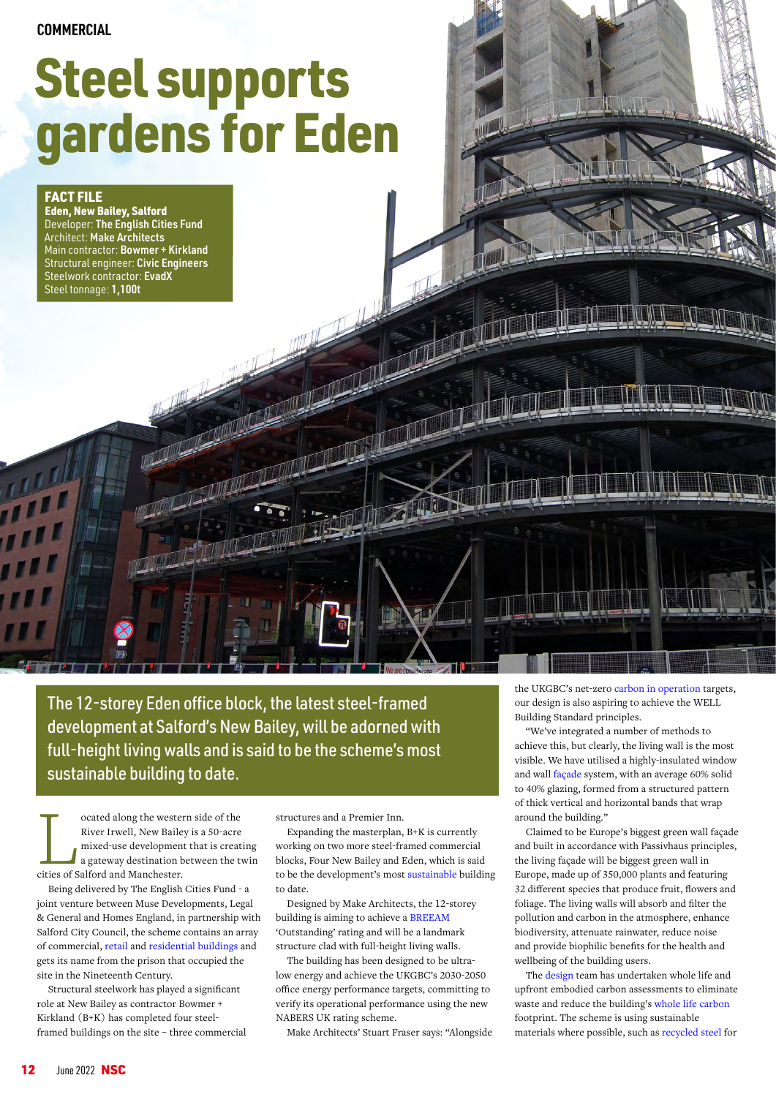## **COMMERCIAL**

## Steel supports gardens for Eden

## FACT FILE

Eden, New Bailey, Salford Developer: The English Cities Fund Architect: Make Architects Main contractor: Bowmer + Kirkland Structural engineer: Civic Engineers Steelwork contractor: EvadX Steel tonnage: 1,100t

The 12-storey Eden office block, the latest steel-framed development at Salford's New Bailey, will be adorned with full-height living walls and is said to be the scheme's most sustainable building to date.

ocated along the western side of the<br>River Irwell, New Bailey is a 50-acre<br>mixed-use development that is creat<br>a gateway destination between the trities of Salford and Manchester. River Irwell, New Bailey is a 50-acre mixed-use development that is creating a gateway destination between the twin cities of Salford and Manchester.

Being delivered by The English Cities Fund - a joint venture between Muse Developments, Legal & General and Homes England, in partnership with Salford City Council, the scheme contains an array of commercial, [retail](https://www.steelconstruction.info/Retail_buildings) and [residential buildings](https://www.steelconstruction.info/Residential_and_mixed-use_buildings) and gets its name from the prison that occupied the site in the Nineteenth Century.

Structural steelwork has played a significant role at New Bailey as contractor Bowmer + Kirkland (B+K) has completed four steelframed buildings on the site – three commercial structures and a Premier Inn.

Expanding the masterplan, B+K is currently working on two more steel-framed commercial blocks, Four New Bailey and Eden, which is said to be the development's most [sustainable](https://www.steelconstruction.info/Multi-storey_office_buildings#Sustainability) building to date.

Designed by Make Architects, the 12-storey building is aiming to achieve a [BREEAM](https://www.steelconstruction.info/BREEAM)  'Outstanding' rating and will be a landmark structure clad with full-height living walls.

The building has been designed to be ultralow energy and achieve the UKGBC's 2030-2050 office energy performance targets, committing to verify its operational performance using the new NABERS UK rating scheme.

Make Architects' Stuart Fraser says: "Alongside

the UKGBC's net-zero [carbon in operation](https://www.steelconstruction.info/Operational_carbon) targets, our design is also aspiring to achieve the WELL Building Standard principles.

"We've integrated a number of methods to achieve this, but clearly, the living wall is the most visible. We have utilised a highly-insulated window and wall [façade](https://www.steelconstruction.info/Facades_and_interfaces) system, with an average 60% solid to 40% glazing, formed from a structured pattern of thick vertical and horizontal bands that wrap around the building."

Claimed to be Europe's biggest green wall façade and built in accordance with Passivhaus principles, the living façade will be biggest green wall in Europe, made up of 350,000 plants and featuring 32 different species that produce fruit, flowers and foliage. The living walls will absorb and filter the pollution and carbon in the atmosphere, enhance biodiversity, attenuate rainwater, reduce noise and provide biophilic benefits for the health and wellbeing of the building users.

The [design](https://www.steelconstruction.info/Design) team has undertaken whole life and upfront embodied carbon assessments to eliminate waste and reduce the building's [whole life carbon](https://www.steelconstruction.info/Life_cycle_assessment_and_embodied_carbon#Whole-life_carbon) footprint. The scheme is using sustainable materials where possible, such as [recycled steel](https://www.steelconstruction.info/Recycling_and_reuse#Recycling) for